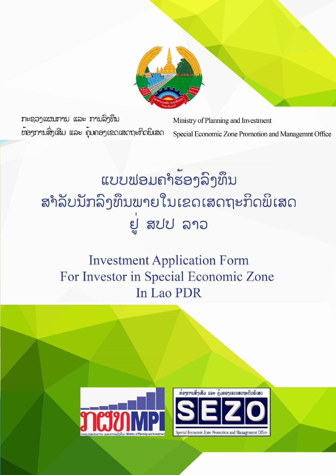

ກະຊວງແຜນການ ແລະ ການລິງທຶນ ທ້ອງການສິ່ງເສີມ ແລະ ຄຸ້ມຄອງເຂດເສດຖະກິດພິເສດ

Ministry of Planning and Investment Special Economic Zone Promotion and Managemnt Office

# ແບບຟອມຄຳຮ້ອງລິງທຶນ ສຳລັບນັກລິງທຶນພາຍໃນເຂດເສດຖະກິດພິເສດ ยู่ สปป ลาอ

# **Investment Application Form** For Investor in Special Economic Zone In Lao PDR

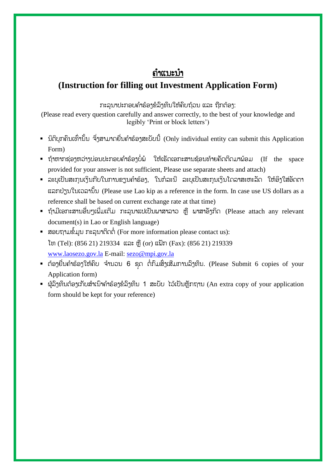## ຄຳແນະນຳ

## **(Instruction for filling out Investment Application Form)**

ກະລຸນາປະກອບຄຳຮ້ອງຂໍລິງທຶນໃຫ້ຄົບຖ້ວນ ແລະ ຖືກຕ້ອງ:

(Please read every question carefully and answer correctly, to the best of your knowledge and legibly 'Print or block letters')

- $\,$  ນິຕິບຸກຄົນເທົ່ານັ້ນ ຈຶ່ງສາມາດຍື່ນຄຳຮ້ອງສະບັບນີ້ (Only individual entity can submit this Application Form)
- $\,$  = ຖ້າຫາກຂ່ອງຫວ່າງບ່ອນປະກອບຄຳຮ້ອງບໍ່ພໍ່ ໃຫ້ເຮັດເອກະສານຂ້ອນທ້າຍຄັດຕິດມາພ້ອມ (If the space provided for your answer is not sufficient, Please use separate sheets and attach)
- ລະບຸເປັນສະກຸນເງິນກີບໃນການຂຽນຄຳຮ້ອງ, ໃນກໍລະນີ ລະບຸເປັນສະກຸນເງິນໂດລາສະຫະລັດ ໃຫ້ອິງໃສ່ອັດຕາ ແລກປ່ຽນໃນເວລຳນັັ້ນ (Please use Lao kip as a reference in the form. In case use US dollars as a reference shall be based on current exchange rate at that time)
- $\bullet$  ຖ້າມີເອກະສານອື່ນໆເພີ່ມເຕີມ ກະລຸນາແປເປັນພາສາລາວ ຫຼື ພາສາອັງກິດ (Please attach any relevant document(s) in Lao or English language)
- ສອບຖຳມຂໍໍ້ມູນ ກະລຸນຳຕິດຕໍໍ່ (For more information please contact us): ໂທ (Tel): (856 21) 219334 ແລະ ຫຼື (or) ແຝັກ (Fax): (856 21) 219339 [www.laosezo.gov.la](http://www.laosezo.gov.la/) E-mail: [sezo@mpi.gov.la](mailto:sezo@mpi.gov.la)
- $\,$  ຕ້ອງຍື່ນຄຳຮ້ອງໃຫ້ຄົບ ຈຳນວນ 6 ຊຸດ ຕໍ່ກົມສິ່ງເສີມການລົງທຶນ. (Please Submit 6 copies of your Application form)
- $\blacksquare$  ຜູ້ລິງທຶນຕ້ອງເກັບສຳເນົາຄຳຮ້ອງຂໍລິງທຶນ 1 ສະບັບ ໄວ້ເປັນຫຼັກຖານ (An extra copy of your application form should be kept for your reference)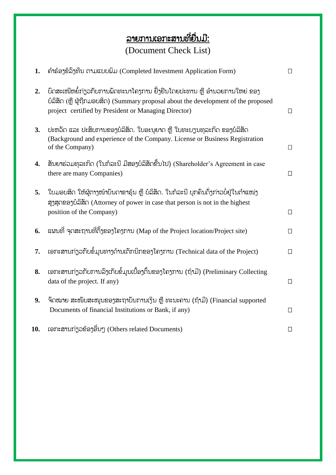# <u>ລາຍການເອກະສານທີ່ຍື່ນມີ:</u> (Document Check List)

| 1.  | ຄໍາຮ້ອງຂໍລິງທຶນ ຕາມແບບພິມ (Completed Investment Application Form)                                                                                                                                                      | $\Box$ |
|-----|------------------------------------------------------------------------------------------------------------------------------------------------------------------------------------------------------------------------|--------|
| 2.  | ບົດສະເໜີຫຍໍ້ກ່ຽວກັບການພັດທະນາໂຄງການ ຢັ້ງຢືນໂດຍປະທານ ຫຼື ອຳນວຍການໃຫຍ່ ຂອງ<br>ບໍລິສັດ (ຫຼື ຜູ້ຖືກມອບສິດ) (Summary proposal about the development of the proposed<br>project certified by President or Managing Director) | $\Box$ |
| 3.  | ປະຫວັດ ແລະ ປະສິບການຂອງບໍລິສັດ. ໃບອະນຸຍາດ ຫຼື ໃບທະບຽນທຸລະກິດ ຂອງບໍລິສັດ<br>(Background and experience of the Company. License or Business Registration<br>of the Company)                                               | $\Box$ |
| 4.  | ສັນຍາຮ່ວມທຸລະກິດ (ໃນກໍລະນີ ມີສອງບໍລິສັດຂື້ນໄປ) (Shareholder's Agreement in case<br>there are many Companies)                                                                                                           | $\Box$ |
| 5.  | ໃບມອບສິດ ໃຫ້ຜູ້ຕາງໜ້າບັນດາຂາຮຸ້ນ ຫຼື ບໍລິສັດ. ໃນກໍລະນີ ບຸກຄົນດັ່ງກ່າວບໍ່ຢູ່ໃນຕຳແໜ່ງ<br>ສູງສຸດຂອງບໍລິສັດ (Attorney of power in case that person is not in the highest<br>position of the Company)                       | $\Box$ |
| 6.  | ແຜນທີ່ ຈຸດສະຖານທີ່ຕັ້ງຂອງໂຄງການ (Map of the Project location/Project site)                                                                                                                                             | $\Box$ |
| 7.  | ເອກະສານກ່ຽວກັບຂໍ້ມູນທາງດ້ານເຕັກນິກຂອງໂຄງການ (Technical data of the Project)                                                                                                                                            | $\Box$ |
| 8.  | ເອກະສານກ່ຽວກັບການລິງເກັບຂໍ້ມູນເບື້ອງຕົ້ນຂອງໂຄງການ (ຖ້າມີ) (Preliminary Collecting<br>data of the project. If any)                                                                                                      | $\Box$ |
| 9.  | ຈົດໝາຍ ສະໜັບສະໜຸນຂອງສະຖາບັນການເງິນ ຫຼື ທະນະຄານ (ຖ້າມີ) (Financial supported<br>Documents of financial Institutions or Bank, if any)                                                                                    | $\Box$ |
| 10. | ເອກະສານກ່ຽວຂ້ອງອື່ນໆ (Others related Documents)                                                                                                                                                                        | $\Box$ |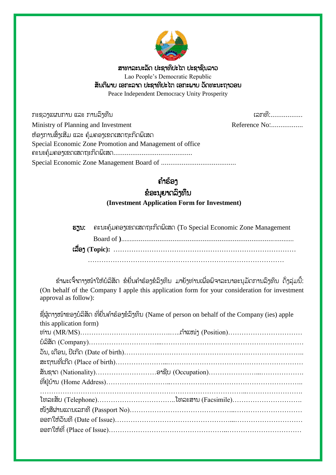

ສຳທຳລະນະລັດ ປະຊຳທິປະໄຕ ປະຊຳຊົນລຳວ Lao People's Democratic Republic ສັນຕິພຳບ ເອກະລຳດ ປະຊຳທິປະໄຕ ເອກະພຳບ ວັດທະນະຖຳວອນ

Peace Independent Democracy Unity Prosperity

ກະຊວງແຜນການ ແລະ ການລົງທືນ

Reference No:.................

| Ministry of Planning and Investment                      | R. |
|----------------------------------------------------------|----|
| ຫ້ອງການສິ່ງເສີມ ແລະ ຄຸ້ມຄອງເຂດເສດຖະກິດພິເສດ              |    |
| Special Economic Zone Promotion and Management of office |    |
|                                                          |    |

# ຄ ຳຮ້ອງ

### ຂໍອະນຸຍຳດລົງທຶນ

**(Investment Application Form for Investment)**

| ธรูบ: คะบะคุ้มคอๆเຂดเสดทะทิดผิเสด (To Special Economic Zone Management |
|------------------------------------------------------------------------|
|                                                                        |
|                                                                        |
|                                                                        |

ຂ້າພະເຈົ້າຕາງໜ້າໃຫ້ບໍລິສັດ ຂໍຍື່ນຄຳຮ້ອງຂໍລິງທຶນ ມາຍັງທ່ານເພື່ອພິຈາລະນາອະນຸມັດການລົງທຶນ ດັ່ງລຸ່ມນີ້: (On behalf of the Company I apple this application form for your consideration for investment approval as follow):

|                        | ຊື່ຜູ້ຕາງໜ້າຂອງບໍລິສັດ ທີ່ຍື່ນຄຳຮ້ອງຂໍລິງທຶນ (Name of person on behalf of the Company (ies) apple |
|------------------------|---------------------------------------------------------------------------------------------------|
| this application form) |                                                                                                   |
|                        |                                                                                                   |
|                        |                                                                                                   |
|                        |                                                                                                   |
|                        |                                                                                                   |
|                        |                                                                                                   |
|                        |                                                                                                   |
|                        |                                                                                                   |
|                        |                                                                                                   |
|                        |                                                                                                   |
|                        |                                                                                                   |
|                        |                                                                                                   |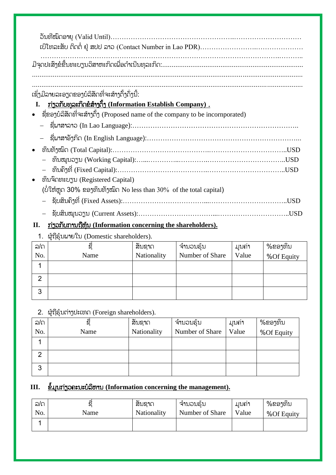| ເຊິ່ງມີລາຍລະອຽດຂອງບໍລິສັດທີ່ຈະສ້າງຕັ້ງດັ່ງນີ້:<br><u>ກ່ຽວກັບທຸລະກິດຂໍສ້າງຕັ້ງ (Information Establish Company).</u><br>I. |      |
|--------------------------------------------------------------------------------------------------------------------------|------|
|                                                                                                                          |      |
| —     ຊື່ຟາສາລາວ (In Lao Language):……………………………………………………………………                                                            |      |
|                                                                                                                          |      |
|                                                                                                                          |      |
|                                                                                                                          |      |
|                                                                                                                          |      |
| ้ ทีมจิ๊กทะบาบ (Registered Capital)                                                                                      |      |
| (ບໍ່ໃຫ້ຫຼຸດ 30% ຂອງທຶນທັງໝົດ No less than 30% of the total capital)                                                      |      |
|                                                                                                                          | USD. |
| ຊັບສິນໝູນວຽນ (Current Assets):…………………………………………………………                                                                     | .USD |
|                                                                                                                          |      |

#### **II.** ກ່ຽວກັບກຳນຖືຫຸ້ນ **(Information concerning the shareholders).**

1. ຜູ້ຖືຮຸ້ນພຳຍໃນ (Domestic shareholders).

| ລ/ດ | ຊື   | ສັນຊາດ      | ີ່ຈຳນວນຮຸ້ນ     | ึ บบถ่า | %ຂອງທຶນ    |
|-----|------|-------------|-----------------|---------|------------|
| No. | Name | Nationality | Number of Share | Value   | %Of Equity |
|     |      |             |                 |         |            |
| ⌒   |      |             |                 |         |            |
|     |      |             |                 |         |            |
| 3   |      |             |                 |         |            |

2. ຜູ້ຖືຮຸ້ນຕ່ຳງປະເທດ (Foreign shareholders).

| ລ/ດ           |      | ສັນຊາດ      | ີ <sup>່</sup> ຈຳນວນຮຸ້ນ | <u>ມນຄ່າ</u> | %ຂອງທຶນ    |
|---------------|------|-------------|--------------------------|--------------|------------|
| No.           | Name | Nationality | Number of Share          | Value        | %Of Equity |
|               |      |             |                          |              |            |
| $\mathcal{P}$ |      |             |                          |              |            |
|               |      |             |                          |              |            |
| 3             |      |             |                          |              |            |
|               |      |             |                          |              |            |

#### **III.** ຂໍໍ້ມູນກ່ຽວຄະນະບໍລິຫຳນ **(Information concerning the management).**

| ລ/ດ |      | ഄ<br>ສນຊາດ  | ີຈານວນຣັນ       | <u>ມນຄຳ</u> | %ຂອງທຶນ    |
|-----|------|-------------|-----------------|-------------|------------|
| No. | Name | Nationality | Number of Share | Value       | %Of Equity |
|     |      |             |                 |             |            |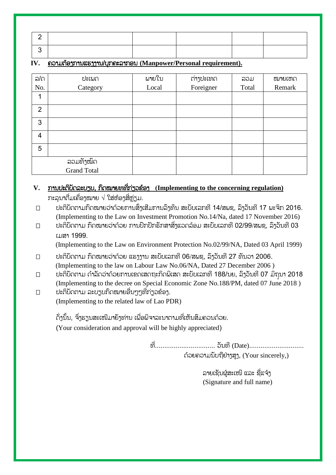#### **IV.** ຄວຳມຕ້ອງກຳນແຮງງຳນ/ບຸກຄະລຳກອນ **(Manpower/Personal requirement).**

| ລ/ດ            | ປະເພດ                    | ผายใบ | ຕ່າງປະເທດ | ລວມ   | ໝາຍເຫດ |
|----------------|--------------------------|-------|-----------|-------|--------|
| No.            | Category                 | Local | Foreigner | Total | Remark |
|                |                          |       |           |       |        |
| $\overline{2}$ |                          |       |           |       |        |
| 3              |                          |       |           |       |        |
| 4              |                          |       |           |       |        |
| 5              |                          |       |           |       |        |
|                | ລວມທັງໝົດ<br>Grand Total |       |           |       |        |
|                |                          |       |           |       |        |

#### **V.** ກຳນປະຕິບັດລະບຽບ, ກົດໝຳຍທທ ຶ່ກ່ຽວຂ້ອງ **(Implementing to the concerning regulation)** ກະລນາຕື່ມເຄື່ອງໝາຍ  $\sqrt{3}$ ສ່ຫ້ອງສື່ຫ່ຽມ.

- $\square$  ປະຕິບັດຕາມກົດໝາຍວ່າດ້ວຍການສຶ່ງເສີມການລົງທຶນ ສະບັບເລກທີ 14/ສພຊ, ລົງວັນທີ 17 ພະຈິກ 2016. (Implementing to the Law on Investment Promotion No.14/Na, dated 17 November 2016)
- $\Box$  ປະຕິບັດຕາມ ກົດໝາຍວ່າດ້ວຍ ການປົກປັກຮັກສາສິ່ງແວດລ້ອມ ສະບັບເລກທີ 02/99/ສພຊ, ລົງວັນທີ 03 ເມສຳ 1999.

(Implementing to the Law on Environment Protection No.02/99/NA, Dated 03 April 1999)

- $\square$  ປະຕິບັດຕາມ ກົດໝາຍວ່າດ້ວຍ ແຮງງານ ສະບັບເລກທີ 06/ສພຊ, ລົງວັນທີ 27 ທັນວາ 2006. (Implementing to the law on Labour Law No.06/NA, Dated 27 December 2006 )
- $\Box$  ປະຕິບັດຕາມ ດຳລັດວ່າດ້ວຍການເຂດເສດຖະກິດພິເສດ ສະບັບເລກທີ 188/ນຍ, ລຶງວັນທີ 07 ມິຖຸນາ 2018 (Implementing to the decree on Special Economic Zone No.188/PM, dated 07 June 2018 )
- $\square$  ປະຕິບັດຕາມ ລະບຽບກົດໝາຍອື່ນໆໆທີ່ກ່ຽວຂ້ອງ. (Implementing to the related law of Lao PDR)

ດັ່ງນັ້ນ, ຈຶ່ງຮຽນສະເໜີມາຍັງທ່ານ ເພື່ອພິຈາລະນາຕາມທີ່ເຫັນສິມຄວນດ້ວຍ. (Your consideration and approval will be highly appreciated)

> ທ ຶ່................................ ວັນທ (Date)............................. ດ້ວຍຄວຳມນັບຖືຢ່ຳງສູງ, (Your sincerely,)

> > ລາຍເຊັນຜູສະເໜີ ແລະ ຊື່ແຈ້ງ (Signature and full name)